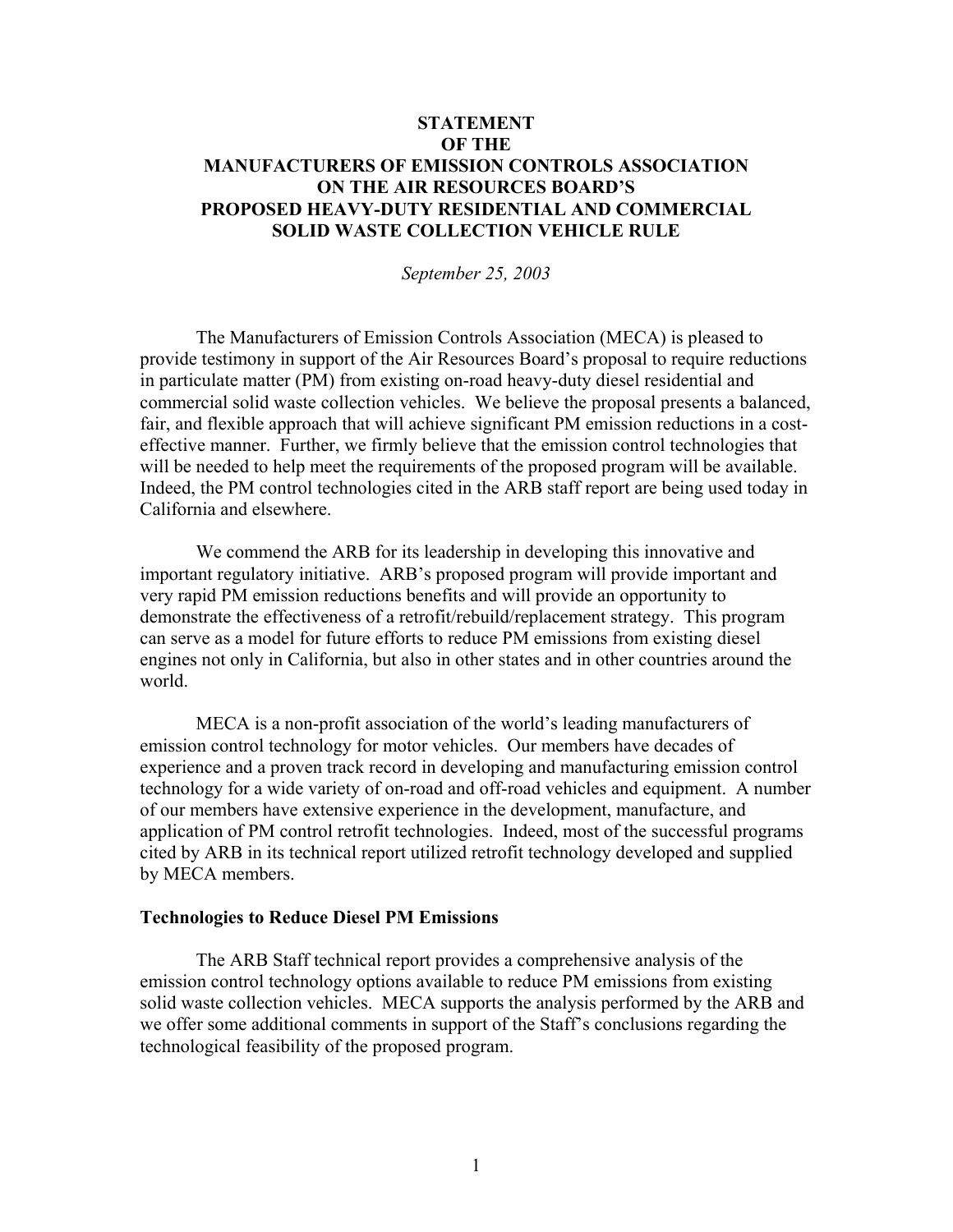## **STATEMENT OF THE MANUFACTURERS OF EMISSION CONTROLS ASSOCIATION ON THE AIR RESOURCES BOARD'S PROPOSED HEAVY-DUTY RESIDENTIAL AND COMMERCIAL SOLID WASTE COLLECTION VEHICLE RULE**

*September 25, 2003* 

The Manufacturers of Emission Controls Association (MECA) is pleased to provide testimony in support of the Air Resources Board's proposal to require reductions in particulate matter (PM) from existing on-road heavy-duty diesel residential and commercial solid waste collection vehicles. We believe the proposal presents a balanced, fair, and flexible approach that will achieve significant PM emission reductions in a costeffective manner. Further, we firmly believe that the emission control technologies that will be needed to help meet the requirements of the proposed program will be available. Indeed, the PM control technologies cited in the ARB staff report are being used today in California and elsewhere.

We commend the ARB for its leadership in developing this innovative and important regulatory initiative. ARB's proposed program will provide important and very rapid PM emission reductions benefits and will provide an opportunity to demonstrate the effectiveness of a retrofit/rebuild/replacement strategy. This program can serve as a model for future efforts to reduce PM emissions from existing diesel engines not only in California, but also in other states and in other countries around the world.

MECA is a non-profit association of the world's leading manufacturers of emission control technology for motor vehicles. Our members have decades of experience and a proven track record in developing and manufacturing emission control technology for a wide variety of on-road and off-road vehicles and equipment. A number of our members have extensive experience in the development, manufacture, and application of PM control retrofit technologies. Indeed, most of the successful programs cited by ARB in its technical report utilized retrofit technology developed and supplied by MECA members.

## **Technologies to Reduce Diesel PM Emissions**

The ARB Staff technical report provides a comprehensive analysis of the emission control technology options available to reduce PM emissions from existing solid waste collection vehicles. MECA supports the analysis performed by the ARB and we offer some additional comments in support of the Staff's conclusions regarding the technological feasibility of the proposed program.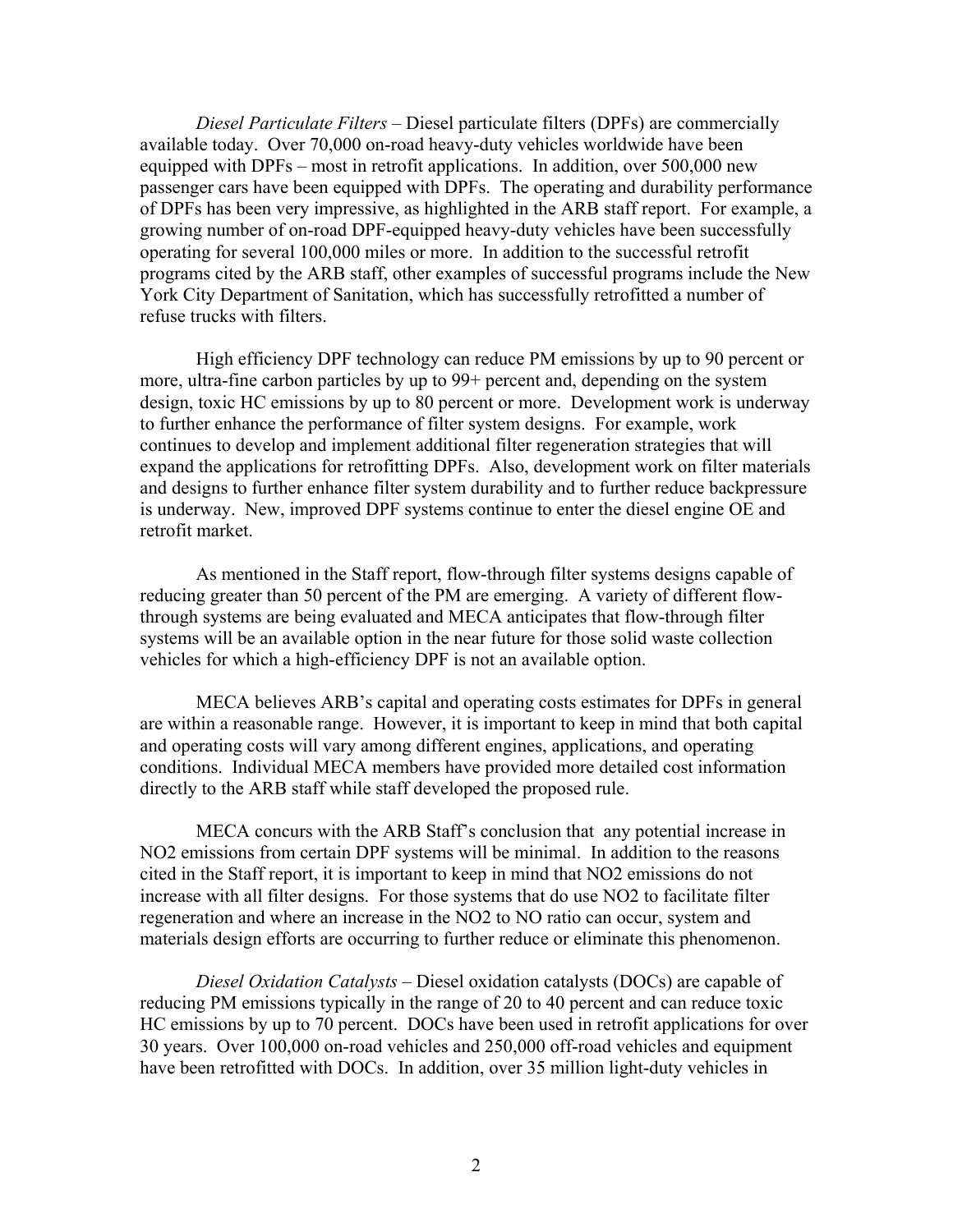*Diesel Particulate Filters –* Diesel particulate filters (DPFs) are commercially available today. Over 70,000 on-road heavy-duty vehicles worldwide have been equipped with DPFs – most in retrofit applications. In addition, over 500,000 new passenger cars have been equipped with DPFs. The operating and durability performance of DPFs has been very impressive, as highlighted in the ARB staff report. For example, a growing number of on-road DPF-equipped heavy-duty vehicles have been successfully operating for several 100,000 miles or more. In addition to the successful retrofit programs cited by the ARB staff, other examples of successful programs include the New York City Department of Sanitation, which has successfully retrofitted a number of refuse trucks with filters.

High efficiency DPF technology can reduce PM emissions by up to 90 percent or more, ultra-fine carbon particles by up to 99+ percent and, depending on the system design, toxic HC emissions by up to 80 percent or more. Development work is underway to further enhance the performance of filter system designs. For example, work continues to develop and implement additional filter regeneration strategies that will expand the applications for retrofitting DPFs. Also, development work on filter materials and designs to further enhance filter system durability and to further reduce backpressure is underway. New, improved DPF systems continue to enter the diesel engine OE and retrofit market.

As mentioned in the Staff report, flow-through filter systems designs capable of reducing greater than 50 percent of the PM are emerging. A variety of different flowthrough systems are being evaluated and MECA anticipates that flow-through filter systems will be an available option in the near future for those solid waste collection vehicles for which a high-efficiency DPF is not an available option.

MECA believes ARB's capital and operating costs estimates for DPFs in general are within a reasonable range. However, it is important to keep in mind that both capital and operating costs will vary among different engines, applications, and operating conditions. Individual MECA members have provided more detailed cost information directly to the ARB staff while staff developed the proposed rule.

MECA concurs with the ARB Staff's conclusion that any potential increase in NO2 emissions from certain DPF systems will be minimal. In addition to the reasons cited in the Staff report, it is important to keep in mind that NO2 emissions do not increase with all filter designs. For those systems that do use NO2 to facilitate filter regeneration and where an increase in the NO2 to NO ratio can occur, system and materials design efforts are occurring to further reduce or eliminate this phenomenon.

*Diesel Oxidation Catalysts –* Diesel oxidation catalysts (DOCs) are capable of reducing PM emissions typically in the range of 20 to 40 percent and can reduce toxic HC emissions by up to 70 percent. DOCs have been used in retrofit applications for over 30 years. Over 100,000 on-road vehicles and 250,000 off-road vehicles and equipment have been retrofitted with DOCs. In addition, over 35 million light-duty vehicles in